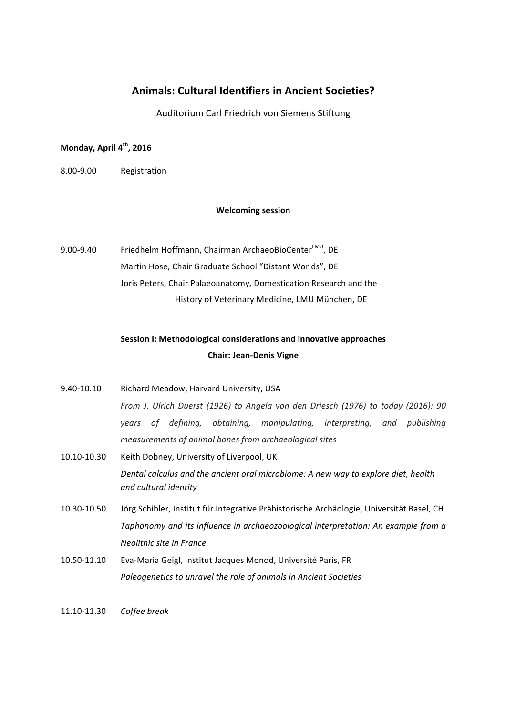# **Animals: Cultural Identifiers in Ancient Societies?**

Auditorium Carl Friedrich von Siemens Stiftung

## **Monday, April 4<sup>th</sup>, 2016**

8.00-9.00 Registration

#### **Welcoming session**

9.00-9.40 Friedhelm Hoffmann, Chairman ArchaeoBioCenterLMU, DE Martin Hose, Chair Graduate School "Distant Worlds", DE Joris Peters, Chair Palaeoanatomy, Domestication Research and the History of Veterinary Medicine, LMU München, DE

# **Session I: Methodological considerations and innovative approaches Chair: Jean-Denis Vigne**

- 9.40-10.10 Richard Meadow, Harvard University, USA *From J. Ulrich Duerst (1926)* to Angela von den Driesch (1976) to today (2016): 90 *years of defining, obtaining, manipulating, interpreting, and publishing measurements of animal bones from archaeological sites*
- 10.10-10.30 Keith Dobney, University of Liverpool, UK *Dental calculus and the ancient oral microbiome:* A new way to explore diet, health *and cultural identity*
- 10.30-10.50 Jörg Schibler, Institut für Integrative Prähistorische Archäologie, Universität Basel, CH *Taphonomy* and *its influence in archaeozoological interpretation:* An example from a *Neolithic site in France*
- 10.50-11.10 Eva-Maria Geigl, Institut Jacques Monod, Université Paris, FR *Paleogenetics to unravel the role of animals in Ancient Societies*

#### 11.10-11.30 *Coffee break*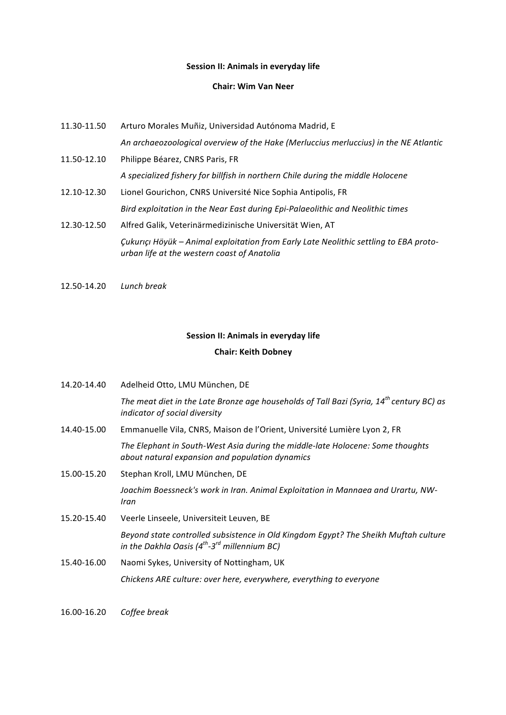#### **Session II: Animals in everyday life**

#### **Chair: Wim Van Neer**

- 11.30-11.50 Arturo Morales Muñiz, Universidad Autónoma Madrid, E An archaeozoological overview of the Hake (Merluccius merluccius) in the NE Atlantic 11.50-12.10 Philippe Béarez, CNRS Paris, FR *A specialized fishery for billfish in northern Chile during the middle Holocene* 12.10-12.30 Lionel Gourichon, CNRS Université Nice Sophia Antipolis, FR Bird exploitation in the Near East during Epi-Palaeolithic and Neolithic times
- 12.30-12.50 Alfred Galik, Veterinärmedizinische Universität Wien, AT *Çukurıçı Höyük – Animal exploitation from Early Late Neolithic settling to EBA protourban life at the western coast of Anatolia*
- 12.50-14.20 *Lunch break*

## **Session II: Animals in everyday life Chair: Keith Dobney**

- 14.20-14.40 Adelheid Otto, LMU München, DE *The meat diet in the Late Bronze age households of Tall Bazi (Syria, 14<sup>th</sup> century BC)* as *indicator of social diversity* 14.40-15.00 Emmanuelle Vila, CNRS, Maison de l'Orient, Université Lumière Lyon 2, FR The Elephant in South-West Asia during the middle-late Holocene: Some thoughts *about natural expansion and population dynamics* 15.00-15.20 Stephan Kroll, LMU München, DE Joachim Boessneck's work in Iran. Animal Exploitation in Mannaea and Urartu, NW-*Iran* 15.20-15.40 Veerle Linseele, Universiteit Leuven, BE Beyond state controlled subsistence in Old Kingdom Egypt? The Sheikh Muftah culture *in the Dakhla Oasis* (4<sup>th</sup>-3<sup>rd</sup> millennium BC) 15.40-16.00 Naomi Sykes, University of Nottingham, UK *Chickens ARE culture: over here, everywhere, everything to everyone*
- 16.00-16.20 *Coffee break*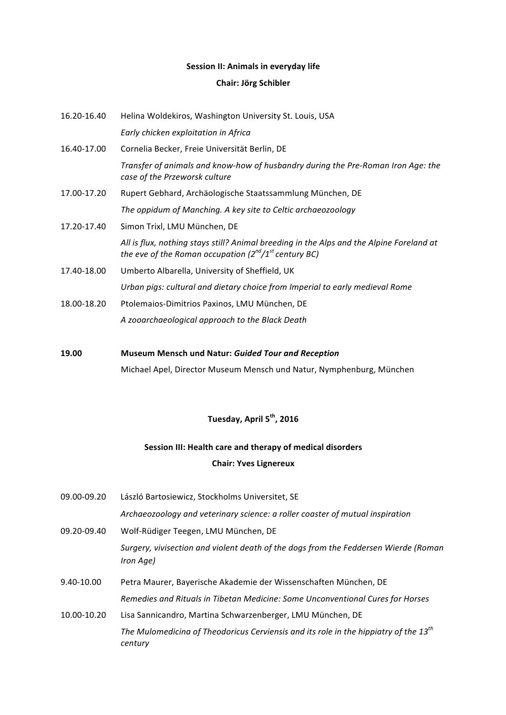#### **Session II: Animals in everyday life**

#### **Chair: Jörg Schibler**

| 16.20-16.40 | Helina Woldekiros, Washington University St. Louis, USA                                                                                                  |
|-------------|----------------------------------------------------------------------------------------------------------------------------------------------------------|
|             | Early chicken exploitation in Africa                                                                                                                     |
| 16.40-17.00 | Cornelia Becker, Freie Universität Berlin, DE                                                                                                            |
|             | Transfer of animals and know-how of husbandry during the Pre-Roman Iron Age: the<br>case of the Przeworsk culture                                        |
| 17.00-17.20 | Rupert Gebhard, Archäologische Staatssammlung München, DE                                                                                                |
|             | The oppidum of Manching. A key site to Celtic archaeozoology                                                                                             |
| 17.20-17.40 | Simon Trixl, LMU München, DE                                                                                                                             |
|             | All is flux, nothing stays still? Animal breeding in the Alps and the Alpine Foreland at<br>the eve of the Roman occupation $(2^{nd}/1^{st}$ century BC) |
| 17.40-18.00 | Umberto Albarella, University of Sheffield, UK                                                                                                           |
|             | Urban pigs: cultural and dietary choice from Imperial to early medieval Rome                                                                             |
| 18.00-18.20 | Ptolemaios-Dimitrios Paxinos, LMU München, DE                                                                                                            |
|             | A zooarchaeological approach to the Black Death                                                                                                          |
|             |                                                                                                                                                          |
|             |                                                                                                                                                          |

**19.00 Museum Mensch und Natur:** *Guided Tour and Reception* Michael Apel, Director Museum Mensch und Natur, Nymphenburg, München

## **Tuesday, April 5th, 2016**

# **Session III: Health care and therapy of medical disorders Chair: Yves Lignereux**

- 09.00-09.20 László Bartosiewicz, Stockholms Universitet, SE *Archaeozoology and veterinary science: a roller coaster of mutual inspiration*
- 09.20-09.40 Wolf-Rüdiger Teegen, LMU München, DE Surgery, vivisection and violent death of the dogs from the Feddersen Wierde (Roman *Iron Age)*
- 9.40-10.00 Petra Maurer, Bayerische Akademie der Wissenschaften München, DE *Remedies and Rituals in Tibetan Medicine: Some Unconventional Cures for Horses*
- 10.00-10.20 Lisa Sannicandro, Martina Schwarzenberger, LMU München, DE *The* Mulomedicina of Theodoricus Cerviensis and its role in the hippiatry of the 13<sup>th</sup> *century*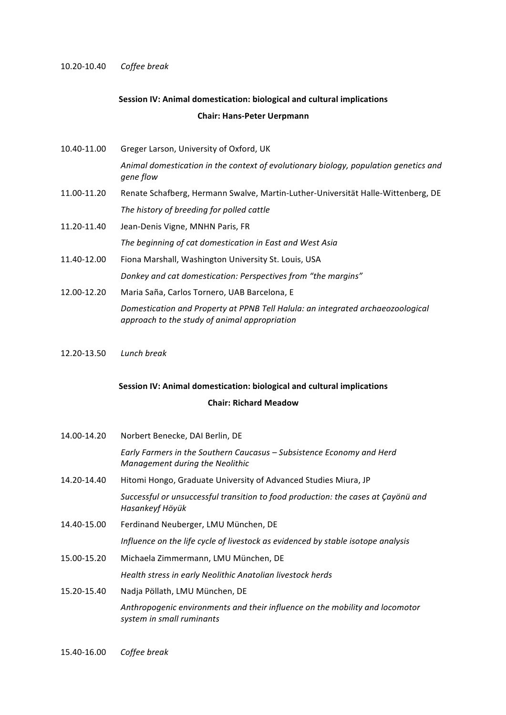#### 10.20-10.40 *Coffee break*

# **Session IV: Animal domestication: biological and cultural implications Chair: Hans-Peter Uerpmann**

10.40-11.00 Greger Larson, University of Oxford, UK

Animal domestication in the context of evolutionary biology, population genetics and *gene flow*

- 11.00-11.20 Renate Schafberg, Hermann Swalve, Martin-Luther-Universität Halle-Wittenberg, DE The history of breeding for polled cattle
- 11.20-11.40 Jean-Denis Vigne, MNHN Paris, FR The beginning of cat domestication in East and West Asia
- 11.40-12.00 Fiona Marshall, Washington University St. Louis, USA *Donkey and cat domestication: Perspectives from "the margins"*
- 12.00-12.20 Maria Saña, Carlos Tornero, UAB Barcelona, E *Domestication and Property at PPNB Tell Halula: an integrated archaeozoological approach to the study of animal appropriation*
- 12.20-13.50 *Lunch break*

# **Session IV: Animal domestication: biological and cultural implications Chair: Richard Meadow**

| 14.00-14.20 | Norbert Benecke, DAI Berlin, DE                                                                           |
|-------------|-----------------------------------------------------------------------------------------------------------|
|             | Early Farmers in the Southern Caucasus – Subsistence Economy and Herd<br>Management during the Neolithic  |
| 14.20-14.40 | Hitomi Hongo, Graduate University of Advanced Studies Miura, JP                                           |
|             | Successful or unsuccessful transition to food production: the cases at Çayönü and<br>Hasankeyf Höyük      |
| 14.40-15.00 | Ferdinand Neuberger, LMU München, DE                                                                      |
|             | Influence on the life cycle of livestock as evidenced by stable isotope analysis                          |
| 15.00-15.20 | Michaela Zimmermann, LMU München, DE                                                                      |
|             | Health stress in early Neolithic Anatolian livestock herds                                                |
| 15.20-15.40 | Nadja Pöllath, LMU München, DE                                                                            |
|             | Anthropogenic environments and their influence on the mobility and locomotor<br>system in small ruminants |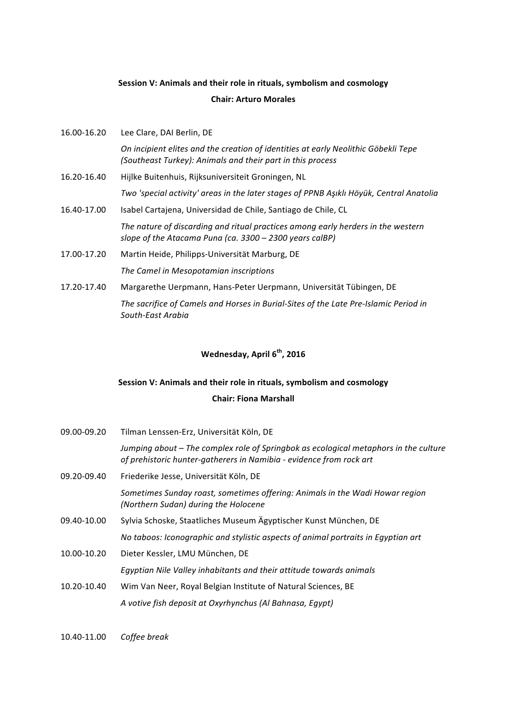## **Session V: Animals and their role in rituals, symbolism and cosmology**

#### **Chair: Arturo Morales**

| 16.00-16.20 | Lee Clare, DAI Berlin, DE                                                                                                                        |
|-------------|--------------------------------------------------------------------------------------------------------------------------------------------------|
|             | On incipient elites and the creation of identities at early Neolithic Göbekli Tepe<br>(Southeast Turkey): Animals and their part in this process |
| 16.20-16.40 | Hijlke Buitenhuis, Rijksuniversiteit Groningen, NL                                                                                               |
|             | Two 'special activity' areas in the later stages of PPNB Aşıklı Höyük, Central Anatolia                                                          |
| 16.40-17.00 | Isabel Cartajena, Universidad de Chile, Santiago de Chile, CL                                                                                    |
|             | The nature of discarding and ritual practices among early herders in the western<br>slope of the Atacama Puna (ca. 3300 – 2300 years calBP)      |
| 17.00-17.20 | Martin Heide, Philipps-Universität Marburg, DE                                                                                                   |
|             | The Camel in Mesopotamian inscriptions                                                                                                           |
| 17.20-17.40 | Margarethe Uerpmann, Hans-Peter Uerpmann, Universität Tübingen, DE                                                                               |
|             | The sacrifice of Camels and Horses in Burial-Sites of the Late Pre-Islamic Period in<br>South-East Arabia                                        |

# **Wednesday, April 6th, 2016**

# **Session V: Animals and their role in rituals, symbolism and cosmology**

## **Chair: Fiona Marshall**

| 09.00-09.20 | Tilman Lenssen-Erz, Universität Köln, DE                                                                                                                    |
|-------------|-------------------------------------------------------------------------------------------------------------------------------------------------------------|
|             | Jumping about - The complex role of Springbok as ecological metaphors in the culture<br>of prehistoric hunter-gatherers in Namibia - evidence from rock art |
| 09.20-09.40 | Friederike Jesse, Universität Köln, DE                                                                                                                      |
|             | Sometimes Sunday roast, sometimes offering: Animals in the Wadi Howar region<br>(Northern Sudan) during the Holocene                                        |
| 09.40-10.00 | Sylvia Schoske, Staatliches Museum Ägyptischer Kunst München, DE                                                                                            |
|             | No taboos: Iconographic and stylistic aspects of animal portraits in Egyptian art                                                                           |
| 10.00-10.20 | Dieter Kessler, LMU München, DE                                                                                                                             |
|             | Egyptian Nile Valley inhabitants and their attitude towards animals                                                                                         |
| 10.20-10.40 | Wim Van Neer, Royal Belgian Institute of Natural Sciences, BE                                                                                               |
|             | A votive fish deposit at Oxyrhynchus (Al Bahnasa, Eqypt)                                                                                                    |

10.40-11.00 *Coffee break*